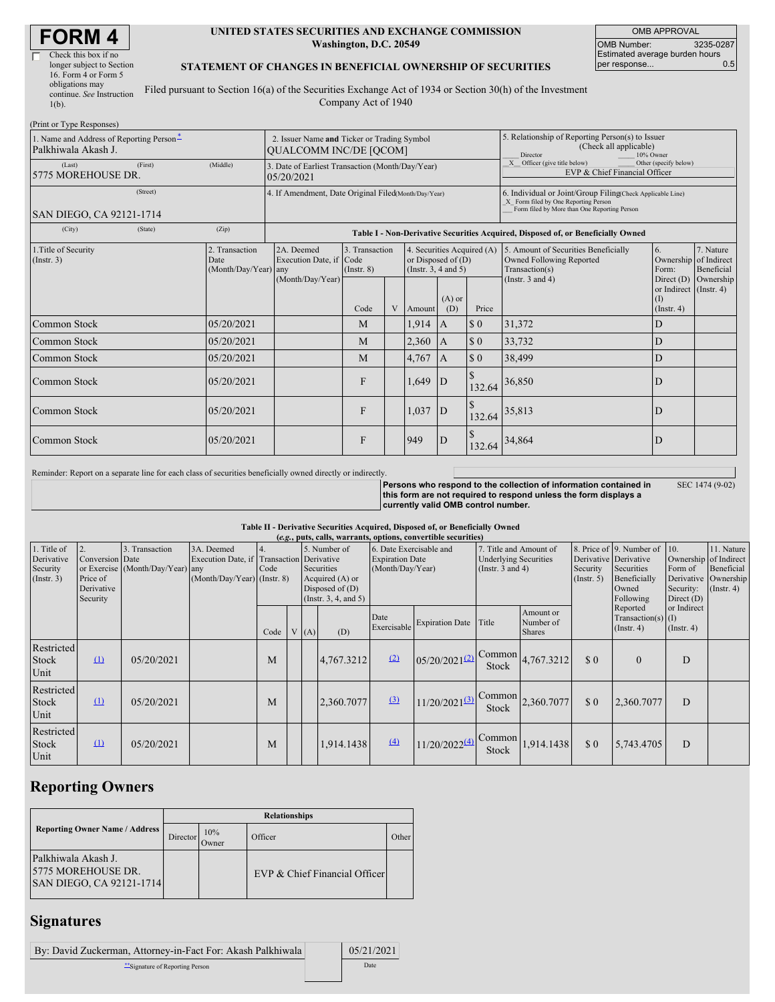# **FORM 4**

 $(Print or True$ 

| Check this box if no      |  |
|---------------------------|--|
| longer subject to Section |  |
| 16. Form 4 or Form 5      |  |
| obligations may           |  |
| continue. See Instruction |  |
| $1(b)$ .                  |  |
|                           |  |

#### **UNITED STATES SECURITIES AND EXCHANGE COMMISSION Washington, D.C. 20549**

OMB APPROVAL OMB Number: 3235-0287 Estimated average burden hours<br>per response... 0.5 per response...

SEC 1474 (9-02)

### **STATEMENT OF CHANGES IN BENEFICIAL OWNERSHIP OF SECURITIES**

Filed pursuant to Section 16(a) of the Securities Exchange Act of 1934 or Section 30(h) of the Investment Company Act of 1940

| 1. Name and Address of Reporting Person-<br>Palkhiwala Akash J.                            | 2. Issuer Name and Ticker or Trading Symbol<br><b>QUALCOMM INC/DE [QCOM]</b>     |                                       |                                   |   |                                                                                |                 | 5. Relationship of Reporting Person(s) to Issuer<br>(Check all applicable)<br>Director<br>10% Owner                                                |                                                                                    |                                            |                         |
|--------------------------------------------------------------------------------------------|----------------------------------------------------------------------------------|---------------------------------------|-----------------------------------|---|--------------------------------------------------------------------------------|-----------------|----------------------------------------------------------------------------------------------------------------------------------------------------|------------------------------------------------------------------------------------|--------------------------------------------|-------------------------|
| (Last)<br>(First)<br>5775 MOREHOUSE DR.                                                    | 3. Date of Earliest Transaction (Month/Day/Year)<br>05/20/2021                   |                                       |                                   |   |                                                                                |                 | Officer (give title below)<br>Other (specify below)<br>EVP & Chief Financial Officer                                                               |                                                                                    |                                            |                         |
| (Street)<br>SAN DIEGO, CA 92121-1714                                                       | 4. If Amendment, Date Original Filed(Month/Day/Year)                             |                                       |                                   |   |                                                                                |                 | 6. Individual or Joint/Group Filing(Check Applicable Line)<br>X Form filed by One Reporting Person<br>Form filed by More than One Reporting Person |                                                                                    |                                            |                         |
| (City)<br>(State)                                                                          | Table I - Non-Derivative Securities Acquired, Disposed of, or Beneficially Owned |                                       |                                   |   |                                                                                |                 |                                                                                                                                                    |                                                                                    |                                            |                         |
| 1. Title of Security<br>2. Transaction<br>$($ Instr. 3 $)$<br>Date<br>(Month/Day/Year) any |                                                                                  | 2A. Deemed<br>Execution Date, if Code | 3. Transaction<br>$($ Instr. $8)$ |   | 4. Securities Acquired (A)<br>or Disposed of $(D)$<br>(Instr. $3, 4$ and $5$ ) |                 |                                                                                                                                                    | 5. Amount of Securities Beneficially<br>Owned Following Reported<br>Transaction(s) | 6.<br>Ownership of Indirect<br>Form:       | 7. Nature<br>Beneficial |
|                                                                                            |                                                                                  | (Month/Day/Year)                      | Code                              | V | Amount                                                                         | $(A)$ or<br>(D) | Price                                                                                                                                              | (Instr. $3$ and $4$ )                                                              | or Indirect (Instr. 4)<br>$($ Instr. 4 $)$ | Direct $(D)$ Ownership  |
| Common Stock                                                                               | 05/20/2021                                                                       |                                       | M                                 |   | $1,914$ A                                                                      |                 | $\Omega$                                                                                                                                           | 31,372                                                                             | D                                          |                         |
| Common Stock                                                                               | 05/20/2021                                                                       |                                       | M                                 |   | $2,360$ A                                                                      |                 | $\boldsymbol{\mathsf{S}}$ 0                                                                                                                        | 33,732                                                                             | D                                          |                         |
| Common Stock                                                                               | 05/20/2021                                                                       |                                       | M                                 |   | 4,767                                                                          | $\mathsf{A}$    | $\boldsymbol{\mathsf{S}}$ 0                                                                                                                        | 38,499                                                                             | D                                          |                         |
| Common Stock                                                                               | 05/20/2021                                                                       |                                       | F                                 |   | $1,649$ D                                                                      |                 | 132.64                                                                                                                                             | 36,850                                                                             | D                                          |                         |
| Common Stock                                                                               | 05/20/2021                                                                       |                                       | $\mathbf{F}$                      |   | 1,037                                                                          | D               | 132.64                                                                                                                                             | 35,813                                                                             | D                                          |                         |
| Common Stock                                                                               | 05/20/2021                                                                       |                                       | F                                 |   | 949                                                                            | $\mathsf{D}$    | 132.64                                                                                                                                             | 34,864                                                                             | D                                          |                         |

Reminder: Report on a separate line for each class of securities beneficially owned directly or indirectly.

**Persons who respond to the collection of information contained in this form are not required to respond unless the form displays a currently valid OMB control number.**

#### **Table II - Derivative Securities Acquired, Disposed of, or Beneficially Owned**

| (e.g., puts, calls, warrants, options, convertible securities) |                                                       |                                                    |                                                                                        |      |  |                                                                                                  |            |                                                                       |                             |                                                                                 |                                         |                              |                                                                                                           |                                                               |                                                                      |
|----------------------------------------------------------------|-------------------------------------------------------|----------------------------------------------------|----------------------------------------------------------------------------------------|------|--|--------------------------------------------------------------------------------------------------|------------|-----------------------------------------------------------------------|-----------------------------|---------------------------------------------------------------------------------|-----------------------------------------|------------------------------|-----------------------------------------------------------------------------------------------------------|---------------------------------------------------------------|----------------------------------------------------------------------|
| 1. Title of<br>Derivative<br>Security<br>(Insert. 3)           | Conversion Date<br>Price of<br>Derivative<br>Security | 3. Transaction<br>or Exercise (Month/Day/Year) any | 3A. Deemed<br>Execution Date, if Transaction Derivative<br>(Month/Day/Year) (Instr. 8) | Code |  | 5. Number of<br>Securities<br>Acquired (A) or<br>Disposed of $(D)$<br>(Instr. $3, 4$ , and $5$ ) |            | 6. Date Exercisable and<br><b>Expiration Date</b><br>(Month/Day/Year) |                             | 7. Title and Amount of<br><b>Underlying Securities</b><br>(Instr. $3$ and $4$ ) |                                         | Security<br>$($ Instr. 5 $)$ | 8. Price of 9. Number of 10.<br>Derivative Derivative<br>Securities<br>Beneficially<br>Owned<br>Following | Ownership of Indirect<br>Form of<br>Security:<br>Direct $(D)$ | 11. Nature<br>Beneficial<br>Derivative Ownership<br>$($ Instr. 4 $)$ |
|                                                                |                                                       |                                                    |                                                                                        | Code |  | V(A)                                                                                             | (D)        | Date<br>Exercisable                                                   | <b>Expiration Date</b>      | Title                                                                           | Amount or<br>Number of<br><b>Shares</b> |                              | Reported<br>$Transaction(s)$ (I)<br>$($ Instr. 4 $)$                                                      | or Indirect<br>$($ Instr. 4 $)$                               |                                                                      |
| Restricted<br><b>Stock</b><br>Unit                             | $\Omega$                                              | 05/20/2021                                         |                                                                                        | М    |  |                                                                                                  | 4,767.3212 | (2)                                                                   | $05/20/2021^{(2)}$          | Common<br><b>Stock</b>                                                          | 4,767.3212                              | \$0                          | $\theta$                                                                                                  | D                                                             |                                                                      |
| Restricted<br>Stock<br>Unit                                    | $\Omega$                                              | 05/20/2021                                         |                                                                                        | М    |  |                                                                                                  | 2,360.7077 | (3)                                                                   | $11/20/2021$ <sup>(3)</sup> | Common<br>Stock                                                                 | 2,360.7077                              | \$0                          | 2,360.7077                                                                                                | D                                                             |                                                                      |
| Restricted<br>Stock<br>Unit                                    | $\mathbf{u}$                                          | 05/20/2021                                         |                                                                                        | M    |  |                                                                                                  | 1,914.1438 | (4)                                                                   | 11/20/2022(4)               | Common<br>Stock                                                                 | 1,914.1438                              | \$0                          | 5,743.4705                                                                                                | D                                                             |                                                                      |

## **Reporting Owners**

|                                                                       | <b>Relationships</b> |              |                               |                    |  |  |  |  |  |  |
|-----------------------------------------------------------------------|----------------------|--------------|-------------------------------|--------------------|--|--|--|--|--|--|
| <b>Reporting Owner Name / Address</b>                                 | Director             | 10%<br>Owner | Officer                       | Other <sup>'</sup> |  |  |  |  |  |  |
| Palkhiwala Akash J.<br>5775 MOREHOUSE DR.<br>SAN DIEGO, CA 92121-1714 |                      |              | EVP & Chief Financial Officer |                    |  |  |  |  |  |  |

### **Signatures**

| By: David Zuckerman, Attorney-in-Fact For: Akash Palkhiwala | 05/21/2021 |
|-------------------------------------------------------------|------------|
| Signature of Reporting Person                               | Date       |